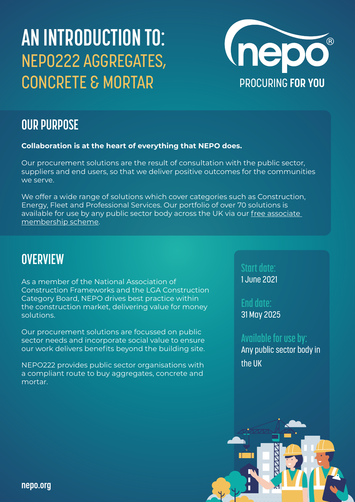# **AN INTRODUCTION TO:** NEPO222 AGGREGATES, **CONCRETE & MORTAR PROCURING FOR YOU**



## **OUR PURPOSE**

### **Collaboration is at the heart of everything that NEPO does.**

Our procurement solutions are the result of consultation with the public sector, suppliers and end users, so that we deliver positive outcomes for the communities we serve.

We offer a wide range of solutions which cover categories such as Construction, Energy, Fleet and Professional Services. Our portfolio of over 70 solutions is available for use by any public sector body across the UK via our [free associate](https://www.nepo.org/associate-membership)  [membership scheme](https://www.nepo.org/associate-membership).

### **OVERVIEW**

As a member of the National Association of Construction Frameworks and the LGA Construction Category Board, NEPO drives best practice within the construction market, delivering value for money solutions.

Our procurement solutions are focussed on public sector needs and incorporate social value to ensure our work delivers benefits beyond the building site.

NEPO222 provides public sector organisations with a compliant route to buy aggregates, concrete and mortar.

**Start date:**

1 June 2021

**End date:** 31 May 2025

### **Available for use by:**

Any public sector body in the UK